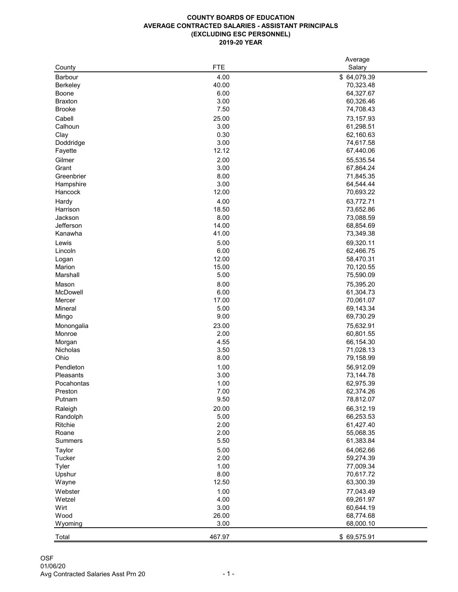## **AVERAGE CONTRACTED SALARIES - ASSISTANT PRINCIPALS COUNTY BOARDS OF EDUCATION (EXCLUDING ESC PERSONNEL) 2019-20 YEAR**

|                  |            | Average     |
|------------------|------------|-------------|
| County           | <b>FTE</b> | Salary      |
| <b>Barbour</b>   | 4.00       | \$64,079.39 |
| <b>Berkeley</b>  | 40.00      | 70,323.48   |
| <b>Boone</b>     | 6.00       | 64,327.67   |
|                  |            |             |
| <b>Braxton</b>   | 3.00       | 60,326.46   |
| <b>Brooke</b>    | 7.50       | 74,708.43   |
| Cabell           | 25.00      | 73,157.93   |
| Calhoun          | 3.00       | 61,298.51   |
| Clay             | 0.30       | 62,160.63   |
| Doddridge        | 3.00       | 74,617.58   |
| Fayette          | 12.12      | 67,440.06   |
|                  |            |             |
| Gilmer           | 2.00       | 55,535.54   |
| Grant            | 3.00       | 67,864.24   |
| Greenbrier       | 8.00       | 71,845.35   |
| Hampshire        | 3.00       | 64,544.44   |
| Hancock          | 12.00      | 70,693.22   |
| Hardy            | 4.00       | 63,772.71   |
| Harrison         | 18.50      | 73,652.86   |
| Jackson          | 8.00       | 73,088.59   |
|                  |            |             |
| Jefferson        | 14.00      | 68,854.69   |
| Kanawha          | 41.00      | 73,349.38   |
| Lewis            | 5.00       | 69,320.11   |
| Lincoln          | 6.00       | 62,466.75   |
| Logan            | 12.00      | 58,470.31   |
| Marion           | 15.00      | 70,120.55   |
| Marshall         | 5.00       | 75,590.09   |
|                  |            |             |
| Mason            | 8.00       | 75,395.20   |
| McDowell         | 6.00       | 61,304.73   |
| Mercer           | 17.00      | 70,061.07   |
| <b>Mineral</b>   | 5.00       | 69,143.34   |
| Mingo            | 9.00       | 69,730.29   |
| Monongalia       | 23.00      | 75,632.91   |
| Monroe           | 2.00       | 60,801.55   |
| Morgan           | 4.55       | 66,154.30   |
| Nicholas         | 3.50       | 71,028.13   |
| Ohio             | 8.00       | 79,158.99   |
|                  |            |             |
| Pendleton        | 1.00       | 56,912.09   |
| <b>Pleasants</b> | 3.00       | 73,144.78   |
| Pocahontas       | 1.00       | 62,975.39   |
| Preston          | 7.00       | 62,374.26   |
| Putnam           | 9.50       | 78,812.07   |
| Raleigh          | 20.00      | 66,312.19   |
| Randolph         | 5.00       | 66,253.53   |
|                  |            |             |
| Ritchie          | 2.00       | 61,427.40   |
| Roane            | 2.00       | 55,068.35   |
| <b>Summers</b>   | 5.50       | 61,383.84   |
| <b>Taylor</b>    | 5.00       | 64,062.66   |
| <b>Tucker</b>    | 2.00       | 59,274.39   |
| <b>Tyler</b>     | 1.00       | 77,009.34   |
| Upshur           | 8.00       | 70,617.72   |
| Wayne            | 12.50      | 63,300.39   |
|                  |            |             |
| Webster          | 1.00       | 77,043.49   |
| Wetzel           | 4.00       | 69,261.97   |
| Wirt             | 3.00       | 60,644.19   |
| Wood             | 26.00      | 68,774.68   |
| Wyoming          | 3.00       | 68,000.10   |
|                  |            |             |
| Total            | 467.97     | \$69,575.91 |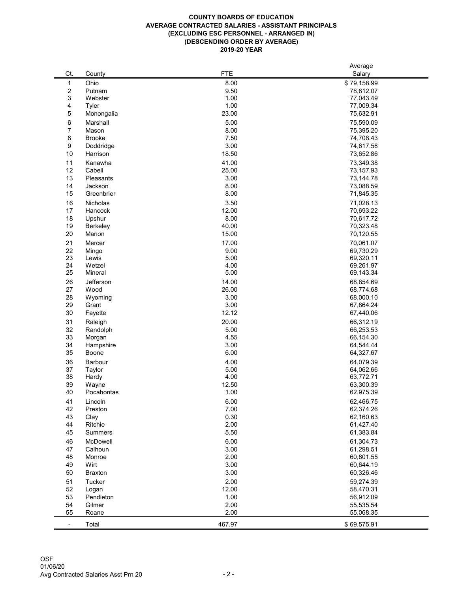## **COUNTY BOARDS OF EDUCATION AVERAGE CONTRACTED SALARIES - ASSISTANT PRINCIPALS (EXCLUDING ESC PERSONNEL - ARRANGED IN) (DESCENDING ORDER BY AVERAGE) 2019-20 YEAR**

|                |                           |               | Average                |
|----------------|---------------------------|---------------|------------------------|
| Ct.            | County                    | <b>FTE</b>    | Salary                 |
| 1              | Ohio                      | 8.00          | \$79,158.99            |
| $\overline{c}$ | Putnam                    | 9.50          | 78,812.07              |
| 3              | Webster                   | 1.00          | 77,043.49              |
| 4              | <b>Tyler</b>              | 1.00          | 77,009.34              |
| 5              | Monongalia                | 23.00         | 75,632.91              |
| 6              | Marshall                  | 5.00          | 75,590.09              |
| $\overline{7}$ | Mason                     | 8.00          | 75,395.20              |
| 8              | <b>Brooke</b>             | 7.50          | 74,708.43              |
| 9              | Doddridge                 | 3.00          | 74,617.58              |
| 10             | Harrison                  | 18.50         | 73,652.86              |
| 11             | Kanawha                   | 41.00         | 73,349.38              |
| 12             | Cabell                    | 25.00         | 73,157.93              |
| 13             | Pleasants                 | 3.00          | 73,144.78              |
| 14             | Jackson                   | 8.00          | 73,088.59              |
| 15             | Greenbrier                | 8.00          | 71,845.35              |
| 16             | Nicholas                  | 3.50          | 71,028.13              |
| 17             | Hancock                   | 12.00         | 70,693.22              |
| 18             | Upshur                    | 8.00          | 70,617.72              |
| 19             | <b>Berkeley</b>           | 40.00         | 70,323.48              |
| 20             | Marion                    | 15.00         | 70,120.55              |
| 21             | Mercer                    | 17.00         | 70,061.07              |
| 22             | Mingo                     | 9.00          | 69,730.29              |
| 23             | Lewis                     | 5.00          | 69,320.11              |
| 24             | Wetzel                    | 4.00          | 69,261.97              |
| 25             | Mineral                   | 5.00          | 69,143.34              |
| 26             | Jefferson                 | 14.00         | 68,854.69              |
| 27             | Wood                      | 26.00         | 68,774.68              |
| 28             | Wyoming                   | 3.00          | 68,000.10              |
| 29             | Grant                     | 3.00          | 67,864.24              |
| 30             | Fayette                   | 12.12         | 67,440.06              |
| 31             | Raleigh                   | 20.00         | 66,312.19              |
| 32             | Randolph                  | 5.00          | 66,253.53              |
| 33             | Morgan                    | 4.55          | 66,154.30              |
| 34<br>35       | Hampshire<br><b>Boone</b> | 3.00<br>6.00  | 64,544.44<br>64,327.67 |
|                |                           |               |                        |
| 36             | <b>Barbour</b>            | 4.00          | 64,079.39              |
| 37<br>38       | <b>Taylor</b><br>Hardy    | 5.00<br>4.00  | 64,062.66<br>63,772.71 |
| 39             | Wayne                     | 12.50         | 63,300.39              |
| 40             | Pocahontas                | 1.00          | 62,975.39              |
|                | Lincoln                   | 6.00          | 62,466.75              |
| 41<br>42       | Preston                   | 7.00          | 62,374.26              |
| 43             | Clay                      | 0.30          | 62,160.63              |
| 44             | Ritchie                   | 2.00          | 61,427.40              |
| 45             | <b>Summers</b>            | 5.50          | 61,383.84              |
|                |                           |               |                        |
| 46<br>47       | McDowell<br>Calhoun       | 6.00<br>3.00  | 61,304.73<br>61,298.51 |
| 48             | Monroe                    | 2.00          | 60,801.55              |
| 49             | Wirt                      | 3.00          | 60,644.19              |
| 50             | <b>Braxton</b>            | 3.00          | 60,326.46              |
|                |                           |               |                        |
| 51             | <b>Tucker</b>             | 2.00          | 59,274.39              |
| 52<br>53       | Logan<br>Pendleton        | 12.00<br>1.00 | 58,470.31<br>56,912.09 |
| 54             | Gilmer                    | 2.00          | 55,535.54              |
| 55             | Roane                     | 2.00          | 55,068.35              |
|                |                           |               |                        |
|                | Total                     | 467.97        | \$69,575.91            |

OSF 01/06/20 Avg Contracted Salaries Asst Prn 20 - 2 -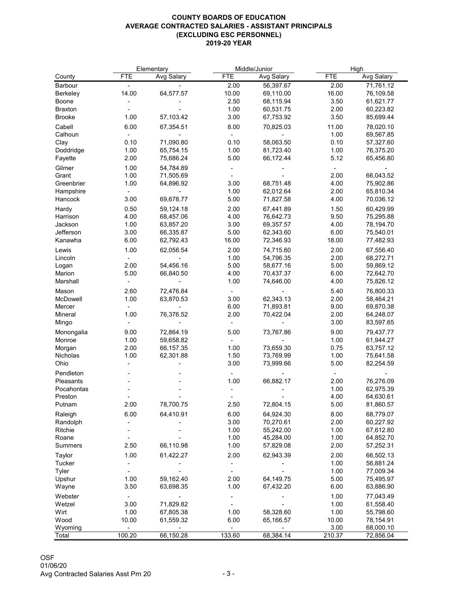## **COUNTY BOARDS OF EDUCATION AVERAGE CONTRACTED SALARIES - ASSISTANT PRINCIPALS (EXCLUDING ESC PERSONNEL) 2019-20 YEAR**

|                     |            | Elementary        | Middle/Junior |                   | High       |                   |
|---------------------|------------|-------------------|---------------|-------------------|------------|-------------------|
| County              | <b>FTE</b> | <b>Avg Salary</b> | <b>FTE</b>    | <b>Avg Salary</b> | <b>FTE</b> | <b>Avg Salary</b> |
| Barbour             |            |                   | 2.00          | 56,397.67         | 2.00       | 71,761.12         |
| <b>Berkeley</b>     | 14.00      | 64,577.57         | 10.00         | 69,110.00         | 16.00      | 76,109.58         |
| <b>Boone</b>        |            |                   | 2.50          | 68,115.94         | 3.50       | 61,621.77         |
| <b>Braxton</b>      |            |                   | 1.00          | 60,531.75         | 2.00       | 60,223.82         |
| <b>Brooke</b>       | 1.00       | 57,103.42         | 3.00          | 67,753.92         | 3.50       | 85,699.44         |
| Cabell              | 6.00       | 67,354.51         | 8.00          | 70,825.03         | 11.00      | 78,020.10         |
| Calhoun             |            |                   |               |                   | 1.00       | 69,567.85         |
| Clay                | 0.10       | 71,090.80         | 0.10          | 58,063.50         | 0.10       | 57,327.60         |
| Doddridge           | 1.00       | 65,754.15         | 1.00          | 81,723.40         | 1.00       | 76,375.20         |
| Fayette             | 2.00       | 75,686.24         | 5.00          | 66,172.44         | 5.12       | 65,456.80         |
| Gilmer              | 1.00       | 54,784.89         |               |                   |            |                   |
| Grant               | 1.00       | 71,505.69         |               |                   | 2.00       | 66,043.52         |
| Greenbrier          | 1.00       | 64,896.92         | 3.00          | 68,751.48         | 4.00       | 75,902.86         |
| Hampshire           |            |                   | 1.00          | 62,012.64         | 2.00       | 65,810.34         |
| Hancock             | 3.00       | 69,678.77         | 5.00          | 71,827.58         | 4.00       | 70,036.12         |
|                     |            |                   |               |                   |            |                   |
| Hardy               | 0.50       | 59,124.18         | 2.00          | 67,441.89         | 1.50       | 60,429.99         |
| Harrison            | 4.00       | 68,457.06         | 4.00          | 76,642.73         | 9.50       | 75,295.88         |
| Jackson             | 1.00       | 63,857.20         | 3.00          | 69,357.57         | 4.00       | 78,194.70         |
| Jefferson           | 3.00       | 66,335.87         | 5.00          | 62,343.60         | 6.00       | 75,540.01         |
| Kanawha             | 6.00       | 62,792.43         | 16.00         | 72,346.93         | 18.00      | 77,482.93         |
| Lewis               | 1.00       | 62,056.54         | 2.00          | 74,715.60         | 2.00       | 67,556.40         |
| Lincoln             |            |                   | 1.00          | 54,796.35         | 2.00       | 68,272.71         |
| Logan               | 2.00       | 54,456.16         | 5.00          | 58,677.16         | 5.00       | 59,869.12         |
| Marion              | 5.00       | 66,840.50         | 4.00          | 70,437.37         | 6.00       | 72,642.70         |
| Marshall            |            |                   | 1.00          | 74,646.00         | 4.00       | 75,826.12         |
| Mason               | 2.60       | 72,476.84         |               |                   | 5.40       | 76,800.33         |
| McDowell            | 1.00       | 63,870.53         | 3.00          | 62,343.13         | 2.00       | 58,464.21         |
| Mercer              |            |                   | 6.00          | 71,893.81         | 9.00       | 69,870.38         |
| Mineral             | 1.00       | 76,376.52         | 2.00          | 70,422.04         | 2.00       | 64,248.07         |
| Mingo               |            |                   |               |                   | 3.00       | 83,597.65         |
| Monongalia          | 9.00       | 72,864.19         | 5.00          | 73,767.86         | 9.00       | 79,437.77         |
| Monroe              | 1.00       | 59,658.82         |               |                   | 1.00       | 61,944.27         |
| Morgan              | 2.00       | 66,157.35         | 1.00          | 73,659.30         | 0.75       | 63,757.12         |
| Nicholas            | 1.00       | 62,301.88         | 1.50          | 73,769.99         | 1.00       | 75,641.58         |
| Ohio                |            |                   | 3.00          | 73,999.66         | 5.00       | 82,254.59         |
| Pendleton           |            |                   |               |                   |            |                   |
| Pleasants           |            |                   | 1.00          | 66,882.17         | 2.00       | 76,276.09         |
| Pocahontas          |            |                   |               |                   | 1.00       | 62,975.39         |
| Preston             |            |                   |               |                   | 4.00       | 64,630.61         |
| Putnam              | 2.00       | 78,700.75         | 2.50          | 72,804.15         | 5.00       | 81,860.57         |
|                     | 6.00       | 64,410.91         | 6.00          | 64,924.30         | 8.00       | 68,779.07         |
| Raleigh<br>Randolph |            |                   | 3.00          | 70,270.61         | 2.00       | 60,227.92         |
| Ritchie             |            |                   | 1.00          | 55,242.00         | 1.00       | 67,612.80         |
| Roane               |            |                   | 1.00          | 45,284.00         | 1.00       | 64,852.70         |
| <b>Summers</b>      | 2.50       | 66,110.98         | 1.00          | 57,829.08         | 2.00       | 57,252.31         |
|                     |            |                   |               |                   |            |                   |
| <b>Taylor</b>       | 1.00       | 61,422.27         | 2.00          | 62,943.39         | 2.00       | 66,502.13         |
| <b>Tucker</b>       |            |                   |               |                   | 1.00       | 56,881.24         |
| <b>Tyler</b>        |            |                   |               |                   | 1.00       | 77,009.34         |
| Upshur              | 1.00       | 59,162.40         | 2.00          | 64,149.75         | 5.00       | 75,495.97         |
| Wayne               | 3.50       | 63,698.35         | 1.00          | 67,432.20         | 6.00       | 63,886.90         |
| Webster             |            |                   |               |                   | 1.00       | 77,043.49         |
| Wetzel              | 3.00       | 71,829.82         |               |                   | 1.00       | 61,558.40         |
| Wirt                | 1.00       | 67,805.38         | 1.00          | 58,328.60         | 1.00       | 55,798.60         |
| Wood                | 10.00      | 61,559.32         | 6.00          | 65,166.57         | 10.00      | 78,154.91         |
| Wyoming             |            |                   |               |                   | 3.00       | 68,000.10         |
| Total               | 100.20     | 66,150.28         | 133.60        | 68,384.14         | 210.37     | 72,856.04         |